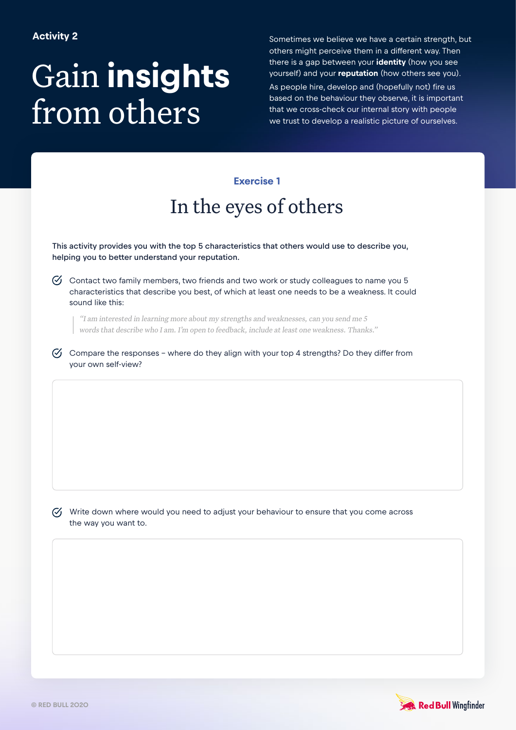# Gain **insights** from others

Sometimes we believe we have a certain strength, but others might perceive them in a different way. Then there is a gap between your **identity** (how you see yourself) and your **reputation** (how others see you). As people hire, develop and (hopefully not) fire us based on the behaviour they observe, it is important that we cross-check our internal story with people we trust to develop a realistic picture of ourselves.

### **Exercise 1**

## In the eyes of others

This activity provides you with the top 5 characteristics that others would use to describe you, helping you to better understand your reputation.

 $\heartsuit$  Contact two family members, two friends and two work or study colleagues to name you 5 characteristics that describe you best, of which at least one needs to be a weakness. It could sound like this:

"I am interested in learning more about my strengths and weaknesses, can you send me 5 words that describe who I am. I'm open to feedback, include at least one weakness. Thanks."

 $\heartsuit$  Compare the responses - where do they align with your top 4 strengths? Do they differ from your own self-view?

 $\mathcal{G}$  Write down where would you need to adjust your behaviour to ensure that you come across the way you want to.